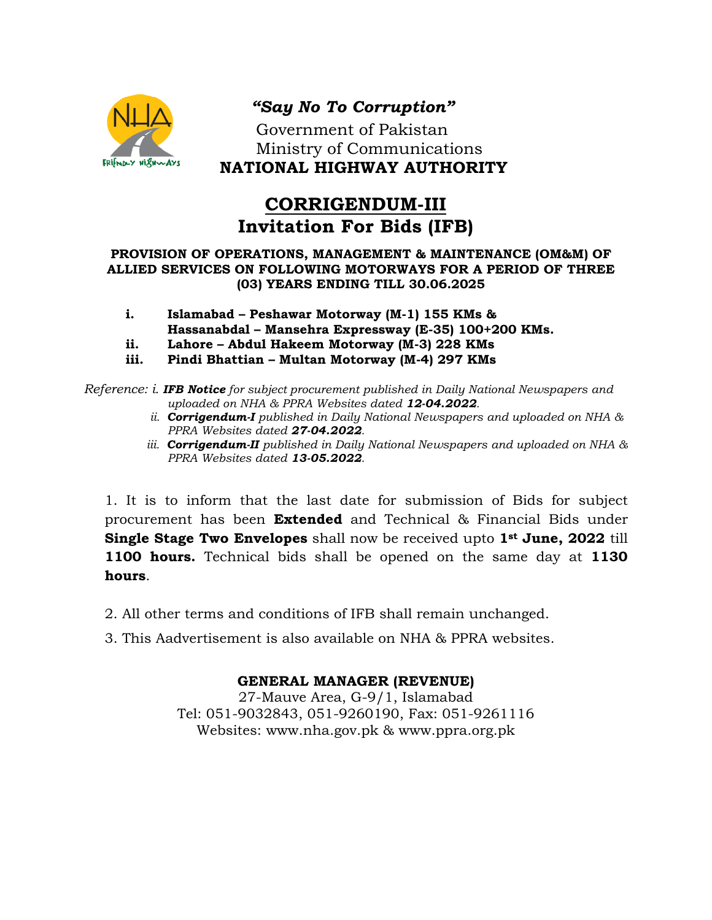

## *"Say No To Corruption"*

 Government of Pakistan Ministry of Communications **NATIONAL HIGHWAY AUTHORITY**

# **CORRIGENDUM-III Invitation For Bids (IFB)**

#### **PROVISION OF OPERATIONS, MANAGEMENT & MAINTENANCE (OM&M) OF ALLIED SERVICES ON FOLLOWING MOTORWAYS FOR A PERIOD OF THREE (03) YEARS ENDING TILL 30.06.2025**

- **i. Islamabad – Peshawar Motorway (M-1) 155 KMs & Hassanabdal – Mansehra Expressway (E-35) 100+200 KMs.**
- **ii. Lahore – Abdul Hakeem Motorway (M-3) 228 KMs**
- **iii. Pindi Bhattian – Multan Motorway (M-4) 297 KMs**

*Reference: i. IFB Notice for subject procurement published in Daily National Newspapers and uploaded on NHA & PPRA Websites dated 12-04.2022.*

- *ii. Corrigendum-I published in Daily National Newspapers and uploaded on NHA & PPRA Websites dated 27-04.2022.*
- *iii. Corrigendum-II published in Daily National Newspapers and uploaded on NHA & PPRA Websites dated 13-05.2022.*

1. It is to inform that the last date for submission of Bids for subject procurement has been **Extended** and Technical & Financial Bids under **Single Stage Two Envelopes** shall now be received upto **1st June, 2022** till **1100 hours.** Technical bids shall be opened on the same day at **1130 hours**.

- 2. All other terms and conditions of IFB shall remain unchanged.
- 3. This Aadvertisement is also available on NHA & PPRA websites.

### **GENERAL MANAGER (REVENUE)**

27-Mauve Area, G-9/1, Islamabad Tel: 051-9032843, 051-9260190, Fax: 051-9261116 Websites: [www.nha.gov.pk](http://www.nha.gov.pk/) & [www.ppra.org.pk](http://www.ppra.org.pk/)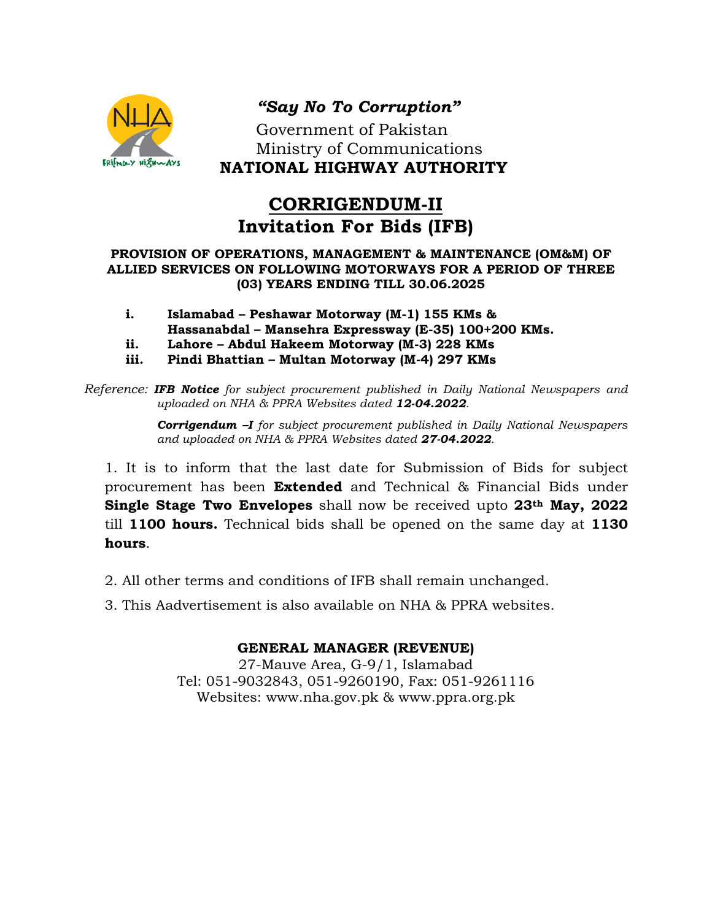

## *"Say No To Corruption"*

 Government of Pakistan Ministry of Communications **NATIONAL HIGHWAY AUTHORITY**

# **CORRIGENDUM-II Invitation For Bids (IFB)**

#### **PROVISION OF OPERATIONS, MANAGEMENT & MAINTENANCE (OM&M) OF ALLIED SERVICES ON FOLLOWING MOTORWAYS FOR A PERIOD OF THREE (03) YEARS ENDING TILL 30.06.2025**

- **i. Islamabad – Peshawar Motorway (M-1) 155 KMs & Hassanabdal – Mansehra Expressway (E-35) 100+200 KMs.**
- **ii. Lahore – Abdul Hakeem Motorway (M-3) 228 KMs**
- **iii. Pindi Bhattian – Multan Motorway (M-4) 297 KMs**

*Reference: IFB Notice for subject procurement published in Daily National Newspapers and uploaded on NHA & PPRA Websites dated 12-04.2022.*

> *Corrigendum –I for subject procurement published in Daily National Newspapers and uploaded on NHA & PPRA Websites dated 27-04.2022.*

1. It is to inform that the last date for Submission of Bids for subject procurement has been **Extended** and Technical & Financial Bids under **Single Stage Two Envelopes** shall now be received upto **23th May, 2022** till **1100 hours.** Technical bids shall be opened on the same day at **1130 hours**.

- 2. All other terms and conditions of IFB shall remain unchanged.
- 3. This Aadvertisement is also available on NHA & PPRA websites.

#### **GENERAL MANAGER (REVENUE)**

27-Mauve Area, G-9/1, Islamabad Tel: 051-9032843, 051-9260190, Fax: 051-9261116 Websites: [www.nha.gov.pk](http://www.nha.gov.pk/) & [www.ppra.org.pk](http://www.ppra.org.pk/)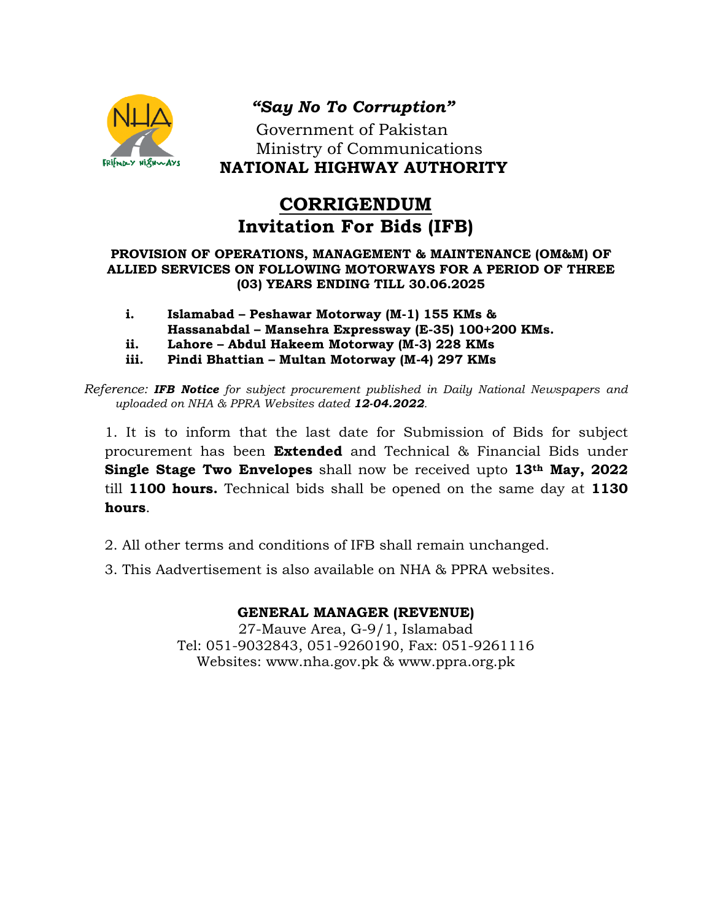

## *"Say No To Corruption"*

 Government of Pakistan Ministry of Communications **NATIONAL HIGHWAY AUTHORITY**

# **CORRIGENDUM Invitation For Bids (IFB)**

#### **PROVISION OF OPERATIONS, MANAGEMENT & MAINTENANCE (OM&M) OF ALLIED SERVICES ON FOLLOWING MOTORWAYS FOR A PERIOD OF THREE (03) YEARS ENDING TILL 30.06.2025**

- **i. Islamabad – Peshawar Motorway (M-1) 155 KMs &**
- **Hassanabdal – Mansehra Expressway (E-35) 100+200 KMs.**
- **ii. Lahore – Abdul Hakeem Motorway (M-3) 228 KMs**
- **iii. Pindi Bhattian – Multan Motorway (M-4) 297 KMs**

*Reference: IFB Notice for subject procurement published in Daily National Newspapers and uploaded on NHA & PPRA Websites dated 12-04.2022.*

1. It is to inform that the last date for Submission of Bids for subject procurement has been **Extended** and Technical & Financial Bids under **Single Stage Two Envelopes** shall now be received upto **13th May, 2022** till **1100 hours.** Technical bids shall be opened on the same day at **1130 hours**.

- 2. All other terms and conditions of IFB shall remain unchanged.
- 3. This Aadvertisement is also available on NHA & PPRA websites.

### **GENERAL MANAGER (REVENUE)**

27-Mauve Area, G-9/1, Islamabad Tel: 051-9032843, 051-9260190, Fax: 051-9261116 Websites: [www.nha.gov.pk](http://www.nha.gov.pk/) & [www.ppra.org.pk](http://www.ppra.org.pk/)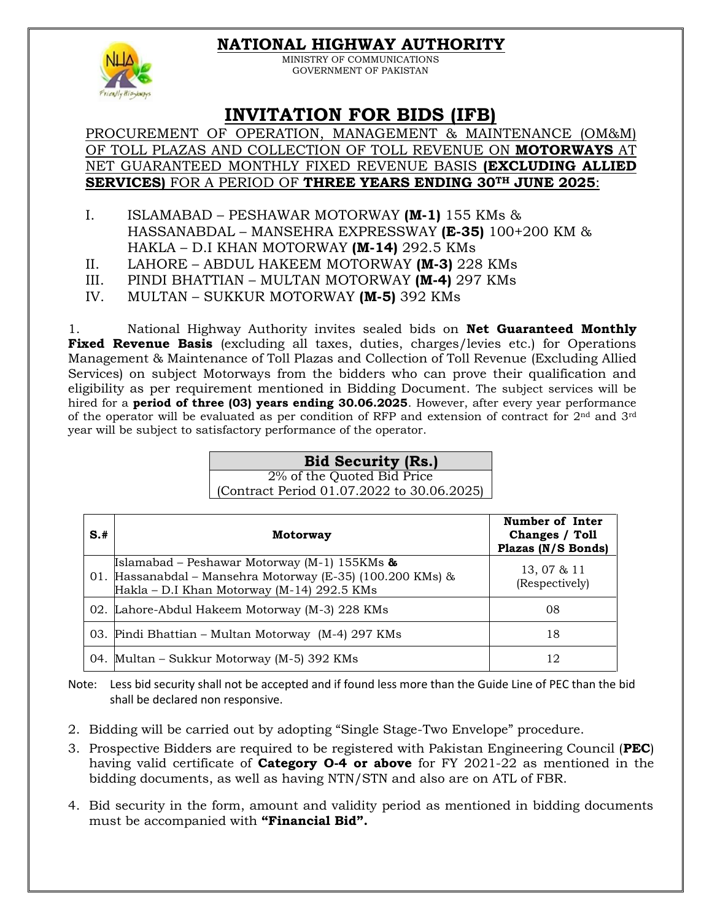### **NATIONAL HIGHWAY AUTHORITY**



MINISTRY OF COMMUNICATIONS GOVERNMENT OF PAKISTAN

## **INVITATION FOR BIDS (IFB)**

PROCUREMENT OF OPERATION, MANAGEMENT & MAINTENANCE (OM&M) OF TOLL PLAZAS AND COLLECTION OF TOLL REVENUE ON **MOTORWAYS** AT NET GUARANTEED MONTHLY FIXED REVENUE BASIS **(EXCLUDING ALLIED SERVICES)** FOR A PERIOD OF **THREE YEARS ENDING 30TH JUNE 2025**:

- I. ISLAMABAD PESHAWAR MOTORWAY **(M-1)** 155 KMs & HASSANABDAL – MANSEHRA EXPRESSWAY **(E-35)** 100+200 KM & HAKLA – D.I KHAN MOTORWAY **(M-14)** 292.5 KMs
- II. LAHORE ABDUL HAKEEM MOTORWAY **(M-3)** 228 KMs
- III. PINDI BHATTIAN MULTAN MOTORWAY **(M-4)** 297 KMs
- IV. MULTAN SUKKUR MOTORWAY **(M-5)** 392 KMs

1. National Highway Authority invites sealed bids on **Net Guaranteed Monthly Fixed Revenue Basis** (excluding all taxes, duties, charges/levies etc.) for Operations Management & Maintenance of Toll Plazas and Collection of Toll Revenue (Excluding Allied Services) on subject Motorways from the bidders who can prove their qualification and eligibility as per requirement mentioned in Bidding Document. The subject services will be hired for a **period of three (03) years ending 30.06.2025**. However, after every year performance of the operator will be evaluated as per condition of RFP and extension of contract for 2nd and 3rd year will be subject to satisfactory performance of the operator.

### **Bid Security (Rs.)**

2% of the Quoted Bid Price (Contract Period 01.07.2022 to 30.06.2025)

| $S+$ | Motorway                                                                                                                                                           | Number of Inter<br>Changes / Toll<br>Plazas (N/S Bonds) |
|------|--------------------------------------------------------------------------------------------------------------------------------------------------------------------|---------------------------------------------------------|
|      | <b>Islamabad</b> – Peshawar Motorway (M-1) 155KMs $\&$<br>01. Hassanabdal – Mansehra Motorway (E-35) (100.200 KMs) &<br>Hakla - D.I Khan Motorway (M-14) 292.5 KMs | 13, 07 & 11<br>(Respectively)                           |
|      | 02. Lahore-Abdul Hakeem Motorway (M-3) 228 KMs                                                                                                                     | 08                                                      |
|      | 03. Pindi Bhattian – Multan Motorway (M-4) 297 KMs                                                                                                                 | 18                                                      |
|      | 04. Multan - Sukkur Motorway (M-5) 392 KMs                                                                                                                         | 12                                                      |

Note: Less bid security shall not be accepted and if found less more than the Guide Line of PEC than the bid shall be declared non responsive.

- 2. Bidding will be carried out by adopting "Single Stage-Two Envelope" procedure.
- 3. Prospective Bidders are required to be registered with Pakistan Engineering Council (**PEC**) having valid certificate of **Category O-4 or above** for FY 2021-22 as mentioned in the bidding documents, as well as having NTN/STN and also are on ATL of FBR.
- 4. Bid security in the form, amount and validity period as mentioned in bidding documents must be accompanied with **"Financial Bid".**